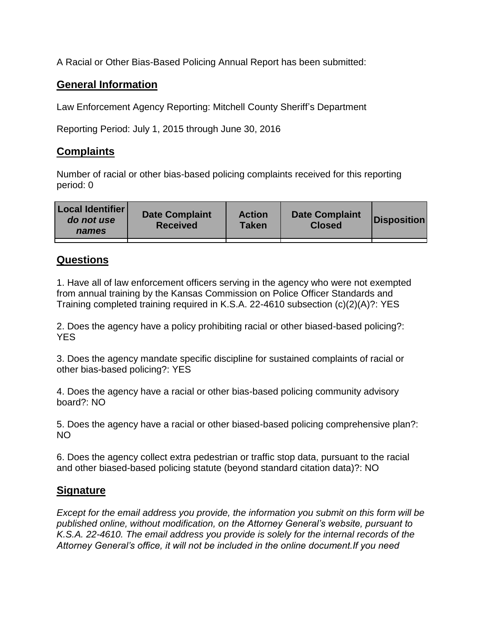A Racial or Other Bias-Based Policing Annual Report has been submitted:

## **General Information**

Law Enforcement Agency Reporting: Mitchell County Sheriff's Department

Reporting Period: July 1, 2015 through June 30, 2016

## **Complaints**

Number of racial or other bias-based policing complaints received for this reporting period: 0

| <b>Local Identifier</b><br>do not use<br>names | <b>Date Complaint</b><br><b>Received</b> | <b>Action</b><br><b>Taken</b> | <b>Date Complaint</b><br><b>Closed</b> | Disposition |
|------------------------------------------------|------------------------------------------|-------------------------------|----------------------------------------|-------------|
|                                                |                                          |                               |                                        |             |

## **Questions**

1. Have all of law enforcement officers serving in the agency who were not exempted from annual training by the Kansas Commission on Police Officer Standards and Training completed training required in K.S.A. 22-4610 subsection (c)(2)(A)?: YES

2. Does the agency have a policy prohibiting racial or other biased-based policing?: YES

3. Does the agency mandate specific discipline for sustained complaints of racial or other bias-based policing?: YES

4. Does the agency have a racial or other bias-based policing community advisory board?: NO

5. Does the agency have a racial or other biased-based policing comprehensive plan?: NO

6. Does the agency collect extra pedestrian or traffic stop data, pursuant to the racial and other biased-based policing statute (beyond standard citation data)?: NO

## **Signature**

*Except for the email address you provide, the information you submit on this form will be published online, without modification, on the Attorney General's website, pursuant to K.S.A. 22-4610. The email address you provide is solely for the internal records of the Attorney General's office, it will not be included in the online document.If you need*